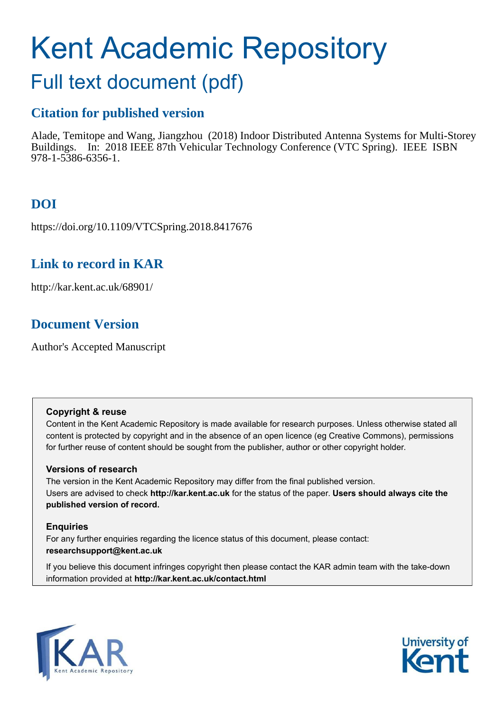# Kent Academic Repository

# Full text document (pdf)

# **Citation for published version**

Alade, Temitope and Wang, Jiangzhou (2018) Indoor Distributed Antenna Systems for Multi-Storey Buildings. In: 2018 IEEE 87th Vehicular Technology Conference (VTC Spring). IEEE ISBN 978-1-5386-6356-1.

# **DOI**

https://doi.org/10.1109/VTCSpring.2018.8417676

# **Link to record in KAR**

http://kar.kent.ac.uk/68901/

# **Document Version**

Author's Accepted Manuscript

## **Copyright & reuse**

Content in the Kent Academic Repository is made available for research purposes. Unless otherwise stated all content is protected by copyright and in the absence of an open licence (eg Creative Commons), permissions for further reuse of content should be sought from the publisher, author or other copyright holder.

## **Versions of research**

The version in the Kent Academic Repository may differ from the final published version. Users are advised to check **http://kar.kent.ac.uk** for the status of the paper. **Users should always cite the published version of record.**

## **Enquiries**

For any further enquiries regarding the licence status of this document, please contact: **researchsupport@kent.ac.uk**

If you believe this document infringes copyright then please contact the KAR admin team with the take-down information provided at **http://kar.kent.ac.uk/contact.html**



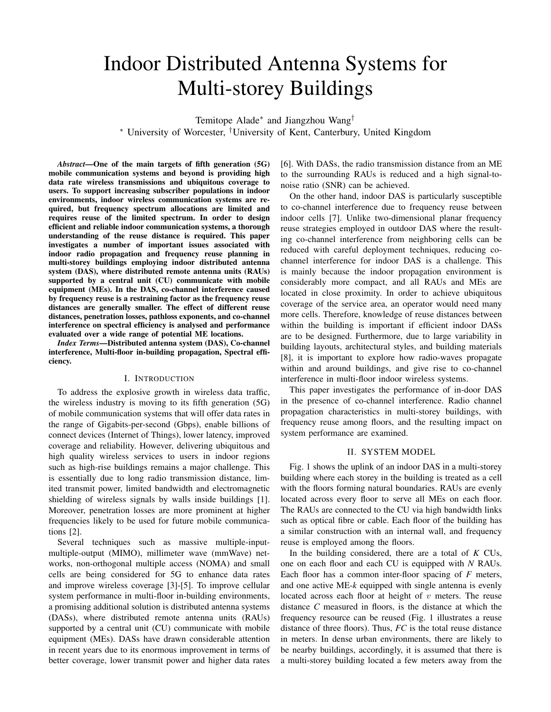# Indoor Distributed Antenna Systems for Multi-storey Buildings

Temitope Alade<sup>∗</sup> and Jiangzhou Wang† <sup>∗</sup> University of Worcester, †University of Kent, Canterbury, United Kingdom

*Abstract*—One of the main targets of fifth generation (5G) mobile communication systems and beyond is providing high data rate wireless transmissions and ubiquitous coverage to users. To support increasing subscriber populations in indoor environments, indoor wireless communication systems are required, but frequency spectrum allocations are limited and requires reuse of the limited spectrum. In order to design efficient and reliable indoor communication systems, a thorough understanding of the reuse distance is required. This paper investigates a number of important issues associated with indoor radio propagation and frequency reuse planning in multi-storey buildings employing indoor distributed antenna system (DAS), where distributed remote antenna units (RAUs) supported by a central unit (CU) communicate with mobile equipment (MEs). In the DAS, co-channel interference caused by frequency reuse is a restraining factor as the frequency reuse distances are generally smaller. The effect of different reuse distances, penetration losses, pathloss exponents, and co-channel interference on spectral efficiency is analysed and performance evaluated over a wide range of potential ME locations.

*Index Terms*—Distributed antenna system (DAS), Co-channel interference, Multi-floor in-building propagation, Spectral efficiency.

#### I. INTRODUCTION

To address the explosive growth in wireless data traffic, the wireless industry is moving to its fifth generation (5G) of mobile communication systems that will offer data rates in the range of Gigabits-per-second (Gbps), enable billions of connect devices (Internet of Things), lower latency, improved coverage and reliability. However, delivering ubiquitous and high quality wireless services to users in indoor regions such as high-rise buildings remains a major challenge. This is essentially due to long radio transmission distance, limited transmit power, limited bandwidth and electromagnetic shielding of wireless signals by walls inside buildings [1]. Moreover, penetration losses are more prominent at higher frequencies likely to be used for future mobile communications [2].

Several techniques such as massive multiple-inputmultiple-output (MIMO), millimeter wave (mmWave) networks, non-orthogonal multiple access (NOMA) and small cells are being considered for 5G to enhance data rates and improve wireless coverage [3]-[5]. To improve cellular system performance in multi-floor in-building environments, a promising additional solution is distributed antenna systems (DASs), where distributed remote antenna units (RAUs) supported by a central unit (CU) communicate with mobile equipment (MEs). DASs have drawn considerable attention in recent years due to its enormous improvement in terms of better coverage, lower transmit power and higher data rates

[6]. With DASs, the radio transmission distance from an ME to the surrounding RAUs is reduced and a high signal-tonoise ratio (SNR) can be achieved.

On the other hand, indoor DAS is particularly susceptible to co-channel interference due to frequency reuse between indoor cells [7]. Unlike two-dimensional planar frequency reuse strategies employed in outdoor DAS where the resulting co-channel interference from neighboring cells can be reduced with careful deployment techniques, reducing cochannel interference for indoor DAS is a challenge. This is mainly because the indoor propagation environment is considerably more compact, and all RAUs and MEs are located in close proximity. In order to achieve ubiquitous coverage of the service area, an operator would need many more cells. Therefore, knowledge of reuse distances between within the building is important if efficient indoor DASs are to be designed. Furthermore, due to large variability in building layouts, architectural styles, and building materials [8], it is important to explore how radio-waves propagate within and around buildings, and give rise to co-channel interference in multi-floor indoor wireless systems.

This paper investigates the performance of in-door DAS in the presence of co-channel interference. Radio channel propagation characteristics in multi-storey buildings, with frequency reuse among floors, and the resulting impact on system performance are examined.

#### II. SYSTEM MODEL

Fig. 1 shows the uplink of an indoor DAS in a multi-storey building where each storey in the building is treated as a cell with the floors forming natural boundaries. RAUs are evenly located across every floor to serve all MEs on each floor. The RAUs are connected to the CU via high bandwidth links such as optical fibre or cable. Each floor of the building has a similar construction with an internal wall, and frequency reuse is employed among the floors.

In the building considered, there are a total of *K* CUs, one on each floor and each CU is equipped with *N* RAUs. Each floor has a common inter-floor spacing of *F* meters, and one active ME-*k* equipped with single antenna is evenly located across each floor at height of  $v$  meters. The reuse distance *C* measured in floors, is the distance at which the frequency resource can be reused (Fig. 1 illustrates a reuse distance of three floors). Thus, *FC* is the total reuse distance in meters. In dense urban environments, there are likely to be nearby buildings, accordingly, it is assumed that there is a multi-storey building located a few meters away from the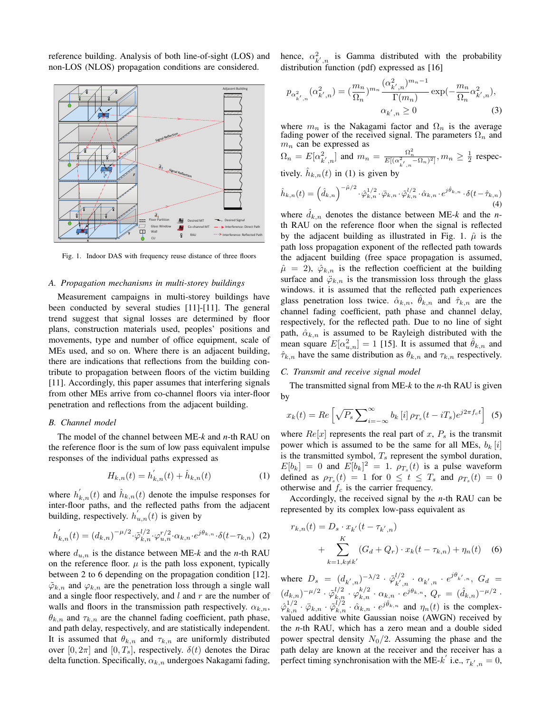reference building. Analysis of both line-of-sight (LOS) and non-LOS (NLOS) propagation conditions are considered.



Fig. 1. Indoor DAS with frequency reuse distance of three floors

#### *A. Propagation mechanisms in multi-storey buildings*

Measurement campaigns in multi-storey buildings have been conducted by several studies [11]-[11]. The general trend suggest that signal losses are determined by floor plans, construction materials used, peoples' positions and movements, type and number of office equipment, scale of MEs used, and so on. Where there is an adjacent building, there are indications that reflections from the building contribute to propagation between floors of the victim building [11]. Accordingly, this paper assumes that interfering signals from other MEs arrive from co-channel floors via inter-floor penetration and reflections from the adjacent building.

#### *B. Channel model*

The model of the channel between ME-*k* and *n*-th RAU on the reference floor is the sum of low pass equivalent impulse responses of the individual paths expressed as

$$
H_{k,n}(t) = h'_{k,n}(t) + \hat{h}_{k,n}(t)
$$
\n(1)

where  $h'_{k,n}(t)$  and  $\hat{h}_{k,n}(t)$  denote the impulse responses for inter-floor paths, and the reflected paths from the adjacent building, respectively.  $h'_{u,n}(t)$  is given by

$$
h'_{k,n}(t) = (d_{k,n})^{-\mu/2} \cdot \tilde{\varphi}_{k,n}^{l/2} \cdot \varphi_{u,n}^{r/2} \cdot \alpha_{k,n} \cdot e^{j\theta_{k,n}} \cdot \delta(t - \tau_{k,n}) \tag{2}
$$

where  $d_{u,n}$  is the distance between ME- $k$  and the *n*-th RAU on the reference floor.  $\mu$  is the path loss exponent, typically between 2 to 6 depending on the propagation condition [12].  $\tilde{\varphi}_{k,n}$  and  $\varphi_{k,n}$  are the penetration loss through a single wall and a single floor respectively, and  $l$  and  $r$  are the number of walls and floors in the transmission path respectively.  $\alpha_{k,n}$ ,  $\theta_{k,n}$  and  $\tau_{k,n}$  are the channel fading coefficient, path phase, and path delay, respectively, and are statistically independent. It is assumed that  $\theta_{k,n}$  and  $\tau_{k,n}$  are uniformly distributed over  $[0, 2\pi]$  and  $[0, T_s]$ , respectively.  $\delta(t)$  denotes the Dirac delta function. Specifically,  $\alpha_{k,n}$  undergoes Nakagami fading,

hence,  $\alpha_{k',n}^2$  is Gamma distributed with the probability distribution function (pdf) expressed as [16]

$$
p_{\alpha_{k',n}^2}(\alpha_{k',n}^2) = \left(\frac{m_n}{\Omega_n}\right)^{m_n} \frac{(\alpha_{k',n}^2)^{m_n - 1}}{\Gamma(m_n)} \exp\left(-\frac{m_n}{\Omega_n} \alpha_{k',n}^2\right),
$$
  

$$
\alpha_{k',n} \ge 0
$$
 (3)

where  $m_n$  is the Nakagami factor and  $\Omega_n$  is the average fading power of the received signal. The parameters  $\Omega_n$  and  $m_n$  can be expressed as

$$
\Omega_n = E[\alpha_{k',n}^2] \text{ and } m_n = \frac{\Omega_n^2}{E[(\alpha_{k',n}^2 - \Omega_n)^2]}, m_n \ge \frac{1}{2} \text{ respectively.}
$$
  
  $\hat{h}_{k,n}(t)$  in (1) is given by

$$
\hat{h}_{k,n}(t) = \left(\hat{d}_{k,n}\right)^{-\hat{\mu}/2} \cdot \hat{\varphi}_{k,n}^{1/2} \cdot \ddot{\varphi}_{k,n} \cdot \hat{\varphi}_{k,n}^{1/2} \cdot \hat{\alpha}_{k,n} \cdot e^{j\hat{\theta}_{k,n}} \cdot \delta(t-\hat{\tau}_{k,n})\tag{4}
$$

where  $d_{k,n}$  denotes the distance between ME- $k$  and the *n*th RAU on the reference floor when the signal is reflected by the adjacent building as illustrated in Fig. 1.  $\hat{\mu}$  is the path loss propagation exponent of the reflected path towards the adjacent building (free space propagation is assumed,  $\hat{\mu} = 2$ ,  $\hat{\varphi}_{k,n}$  is the reflection coefficient at the building surface and  $\ddot{\varphi}_{k,n}$  is the transmission loss through the glass windows. it is assumed that the reflected path experiences glass penetration loss twice.  $\hat{\alpha}_{k,n}$ ,  $\hat{\theta}_{k,n}$  and  $\hat{\tau}_{k,n}$  are the channel fading coefficient, path phase and channel delay, respectively, for the reflected path. Due to no line of sight path,  $\hat{\alpha}_{k,n}$  is assumed to be Rayleigh distributed with the mean square  $E[\alpha_{u,n}^2] = 1$  [15]. It is assumed that  $\hat{\theta}_{k,n}$  and  $\hat{\tau}_{k,n}$  have the same distribution as  $\theta_{k,n}$  and  $\tau_{k,n}$  respectively.

#### *C. Transmit and receive signal model*

The transmitted signal from ME-*k* to the *n*-th RAU is given by

$$
x_k(t) = Re\left[\sqrt{P_s} \sum_{i=-\infty}^{\infty} b_k[i] \rho_{T_s}(t - iT_s) e^{j2\pi f_c t}\right]
$$
 (5)

where  $Re[x]$  represents the real part of x,  $P_s$  is the transmit power which is assumed to be the same for all MEs,  $b_k[i]$ is the transmitted symbol,  $T_s$  represent the symbol duration,  $E[b_k] = 0$  and  $E[b_k]^2 = 1$ .  $\rho_{T_s}(t)$  is a pulse waveform defined as  $\rho_{T_s}(t) = 1$  for  $0 \le t \le T_s$  and  $\rho_{T_s}(t) = 0$ otherwise and  $f_c$  is the carrier frequency.

Accordingly, the received signal by the *n*-th RAU can be represented by its complex low-pass equivalent as

$$
r_{k,n}(t) = D_s \cdot x_{k'}(t - \tau_{k',n})
$$
  
+ 
$$
\sum_{k=1, k \neq k'}^{K} (G_d + Q_r) \cdot x_k(t - \tau_{k,n}) + \eta_n(t)
$$
 (6)

where  $D_s = (d_{k',n})^{-\lambda/2} \cdot \tilde{\varphi}_{k',n}^{1/2}$  $k', n \cdot \alpha_{k',n} \cdot e^{j\theta_{k',n}}, G_d =$  $(d_{k,n})^{-\mu/2}\cdot\tilde{\varphi}_{k,n}^{l/2}\cdot\varphi_{k,n}^{k/2}\cdot\alpha_{k,n}\cdot e^{j\theta_{k,n}},\,Q_{r}\,=\,(\hat{d}_{k,n})^{-\mu/2}\cdot$  $\hat{\varphi}_{k,n}^{1/2} \cdot \ddot{\varphi}_{k,n} \cdot \tilde{\varphi}_{k,n}^{1/2} \cdot \hat{\alpha}_{k,n} \cdot e^{j\hat{\theta}_{k,n}}$  and  $\eta_n(t)$  is the complexvalued additive white Gaussian noise (AWGN) received by the *n*-th RAU, which has a zero mean and a double sided power spectral density  $N_0/2$ . Assuming the phase and the path delay are known at the receiver and the receiver has a perfect timing synchronisation with the ME- $k^{'}$  i.e.,  $\tau_{k',n} = 0$ ,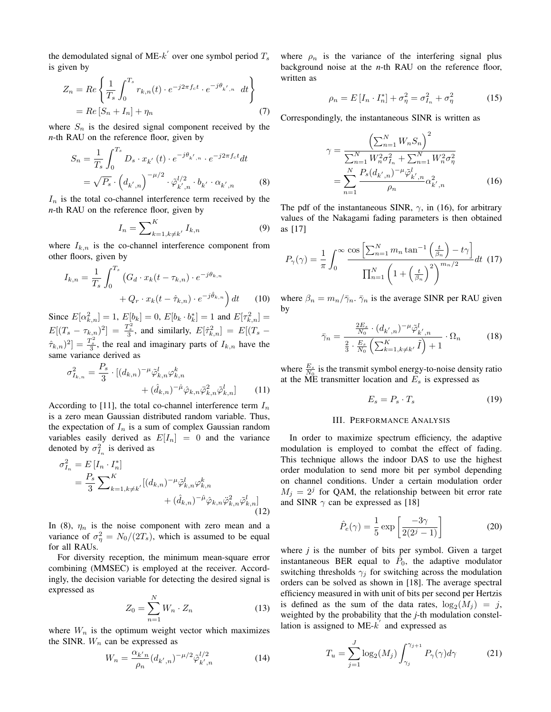the demodulated signal of ME- $k^{'}$  over one symbol period  $T_s$ is given by

$$
Z_n = Re \left\{ \frac{1}{T_s} \int_0^{T_s} r_{k,n}(t) \cdot e^{-j2\pi f_c t} \cdot e^{-j\theta_{k',n}} dt \right\}
$$
  
= Re  $[S_n + I_n] + \eta_n$  (7)

where  $S_n$  is the desired signal component received by the *n*-th RAU on the reference floor, given by

$$
S_n = \frac{1}{T_s} \int_0^{T_s} D_s \cdot x_{k'}(t) \cdot e^{-j\theta_{k',n}} \cdot e^{-j2\pi f_c t} dt
$$
  
=  $\sqrt{P_s} \cdot (d_{k',n})^{-\mu/2} \cdot \tilde{\varphi}_{k',n}^{1/2} \cdot b_{k'} \cdot \alpha_{k',n}$  (8)

 $I_n$  is the total co-channel interference term received by the *n*-th RAU on the reference floor, given by

$$
I_n = \sum\nolimits_{k=1, k \neq k'}^K I_{k,n} \tag{9}
$$

where  $I_{k,n}$  is the co-channel interference component from other floors, given by

$$
I_{k,n} = \frac{1}{T_s} \int_0^{T_s} \left( G_d \cdot x_k (t - \tau_{k,n}) \cdot e^{-j\theta_{k,n}} \right. \\ + Q_r \cdot x_k (t - \hat{\tau}_{k,n}) \cdot e^{-j\hat{\theta}_{k,n}} \right) dt \tag{10}
$$

Since  $E[\alpha_{k,n}^2] = 1$ ,  $E[b_k] = 0$ ,  $E[b_k \cdot b_k^*] = 1$  and  $E[\tau_{k,n}^2] =$  $E[(T_s - \tau_{k,n})^2] = \frac{T_s^2}{3}$ , and similarly,  $E[\hat{\tau}_{k,n}^2] = E[(T_s (\hat{\tau}_{k,n})^2$  =  $\frac{T_s^2}{3}$ , the real and imaginary parts of  $I_{k,n}$  have the same variance derived as

$$
\sigma_{I_{k,n}}^2 = \frac{P_s}{3} \cdot [(d_{k,n})^{-\mu} \tilde{\varphi}_{k,n}^l \varphi_{k,n}^k + (\hat{d}_{k,n})^{-\hat{\mu}} \hat{\varphi}_{k,n} \tilde{\varphi}_{k,n}^2 \tilde{\varphi}_{k,n}^l]
$$
(11)

According to [11], the total co-channel interference term  $I_n$ is a zero mean Gaussian distributed random variable. Thus, the expectation of  $I_n$  is a sum of complex Gaussian random variables easily derived as  $E[I_n] = 0$  and the variance denoted by  $\sigma_{I_n}^2$  is derived as

$$
\sigma_{I_n}^2 = E[I_n \cdot I_n^*]
$$
  
=  $\frac{P_s}{3} \sum_{k=1, k \neq k'}^K [(d_{k,n})^{-\mu} \tilde{\varphi}_{k,n}^l \varphi_{k,n}^k + (\hat{d}_{k,n})^{-\hat{\mu}} \hat{\varphi}_{k,n} \tilde{\varphi}_{k,n}^2 \tilde{\varphi}_{k,n}^l]$   
+  $(\hat{d}_{k,n})^{-\hat{\mu}} \hat{\varphi}_{k,n} \tilde{\varphi}_{k,n}^2 \tilde{\varphi}_{k,n}^l$  (12)

In (8),  $\eta_n$  is the noise component with zero mean and a variance of  $\sigma_{\eta}^2 = N_0/(2T_s)$ , which is assumed to be equal for all RAUs.

For diversity reception, the minimum mean-square error combining (MMSEC) is employed at the receiver. Accordingly, the decision variable for detecting the desired signal is expressed as

$$
Z_0 = \sum_{n=1}^{N} W_n \cdot Z_n \tag{13}
$$

where  $W_n$  is the optimum weight vector which maximizes the SINR.  $W_n$  can be expressed as

$$
W_n = \frac{\alpha_{k'n}}{\rho_n} (d_{k',n})^{-\mu/2} \tilde{\varphi}_{k',n}^{l/2}
$$
 (14)

where  $\rho_n$  is the variance of the interfering signal plus background noise at the *n*-th RAU on the reference floor, written as

$$
\rho_n = E[I_n \cdot I_n^*] + \sigma_\eta^2 = \sigma_{I_n}^2 + \sigma_\eta^2 \tag{15}
$$

Correspondingly, the instantaneous SINR is written as

$$
\gamma = \frac{\left(\sum_{n=1}^{N} W_n S_n\right)^2}{\sum_{n=1}^{N} W_n^2 \sigma_{I_n}^2 + \sum_{n=1}^{N} W_n^2 \sigma_{\eta}^2}
$$

$$
= \sum_{n=1}^{N} \frac{P_s (d_{k',n})^{-\mu} \tilde{\varphi}_{k',n}^l}{\rho_n} \alpha_{k',n}^2
$$
(16)

The pdf of the instantaneous SINR,  $\gamma$ , in (16), for arbitrary values of the Nakagami fading parameters is then obtained as [17]

$$
P_{\gamma}(\gamma) = \frac{1}{\pi} \int_0^{\infty} \frac{\cos\left[\sum_{n=1}^N m_n \tan^{-1}\left(\frac{t}{\beta_n}\right) - t\gamma\right]}{\prod_{n=1}^N \left(1 + \left(\frac{t}{\beta_n}\right)^2\right)^{m_n/2}} dt
$$
 (17)

where  $\beta_n = m_n / \bar{\gamma}_n$ .  $\bar{\gamma}_n$  is the average SINR per RAU given by

$$
\bar{\gamma}_n = \frac{\frac{2E_s}{N_0} \cdot (d_{k',n})^{-\mu} \tilde{\varphi}_{k',n}^l}{\frac{2}{3} \cdot \frac{E_s}{N_0} \left( \sum_{k=1, k \neq k'}^K \tilde{I} \right) + 1} \cdot \Omega_n \tag{18}
$$

where  $\frac{E_s}{N_0}$  is the transmit symbol energy-to-noise density ratio at the ME transmitter location and  $E_s$  is expressed as

$$
E_s = P_s \cdot T_s \tag{19}
$$

#### III. PERFORMANCE ANALYSIS

In order to maximize spectrum efficiency, the adaptive modulation is employed to combat the effect of fading. This technique allows the indoor DAS to use the highest order modulation to send more bit per symbol depending on channel conditions. Under a certain modulation order  $M_j = 2^j$  for QAM, the relationship between bit error rate and SINR  $\gamma$  can be expressed as [18]

$$
\hat{P}_e(\gamma) = \frac{1}{5} \exp\left[\frac{-3\gamma}{2(2^j - 1)}\right]
$$
\n(20)

where *j* is the number of bits per symbol. Given a target instantaneous BER equal to  $\tilde{P}_0$ , the adaptive modulator switching thresholds  $\gamma_j$  for switching across the modulation orders can be solved as shown in [18]. The average spectral efficiency measured in with unit of bits per second per Hertzis is defined as the sum of the data rates,  $log_2(M_j) = j$ , weighted by the probability that the *j*-th modulation constellation is assigned to  $ME-k'$  and expressed as

$$
T_u = \sum_{j=1}^{J} \log_2(M_j) \int_{\gamma_j}^{\gamma_{j+1}} P_{\gamma}(\gamma) d\gamma \tag{21}
$$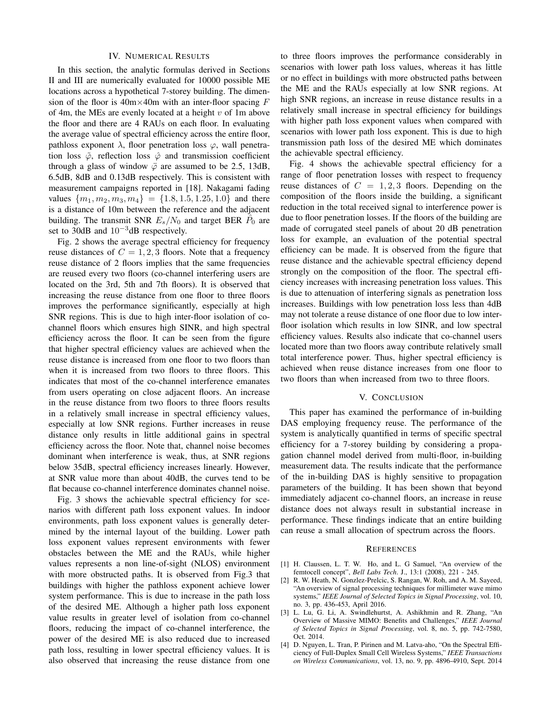#### IV. NUMERICAL RESULTS

In this section, the analytic formulas derived in Sections II and III are numerically evaluated for 10000 possible ME locations across a hypothetical 7-storey building. The dimension of the floor is  $40m \times 40m$  with an inter-floor spacing F of 4m, the MEs are evenly located at a height  $v$  of 1m above the floor and there are 4 RAUs on each floor. In evaluating the average value of spectral efficiency across the entire floor, pathloss exponent  $\lambda$ , floor penetration loss  $\varphi$ , wall penetration loss  $\tilde{\varphi}$ , reflection loss  $\hat{\varphi}$  and transmission coefficient through a glass of window  $\ddot{\varphi}$  are assumed to be 2.5, 13dB, 6.5dB, 8dB and 0.13dB respectively. This is consistent with measurement campaigns reported in [18]. Nakagami fading values  $\{m_1, m_2, m_3, m_4\} = \{1.8, 1.5, 1.25, 1.0\}$  and there is a distance of 10m between the reference and the adjacent building. The transmit SNR  $E_s/N_0$  and target BER  $\tilde{P}_0$  are set to 30dB and  $10^{-3}$ dB respectively.

Fig. 2 shows the average spectral efficiency for frequency reuse distances of  $C = 1, 2, 3$  floors. Note that a frequency reuse distance of 2 floors implies that the same frequencies are reused every two floors (co-channel interfering users are located on the 3rd, 5th and 7th floors). It is observed that increasing the reuse distance from one floor to three floors improves the performance significantly, especially at high SNR regions. This is due to high inter-floor isolation of cochannel floors which ensures high SINR, and high spectral efficiency across the floor. It can be seen from the figure that higher spectral efficiency values are achieved when the reuse distance is increased from one floor to two floors than when it is increased from two floors to three floors. This indicates that most of the co-channel interference emanates from users operating on close adjacent floors. An increase in the reuse distance from two floors to three floors results in a relatively small increase in spectral efficiency values, especially at low SNR regions. Further increases in reuse distance only results in little additional gains in spectral efficiency across the floor. Note that, channel noise becomes dominant when interference is weak, thus, at SNR regions below 35dB, spectral efficiency increases linearly. However, at SNR value more than about 40dB, the curves tend to be flat because co-channel interference dominates channel noise.

Fig. 3 shows the achievable spectral efficiency for scenarios with different path loss exponent values. In indoor environments, path loss exponent values is generally determined by the internal layout of the building. Lower path loss exponent values represent environments with fewer obstacles between the ME and the RAUs, while higher values represents a non line-of-sight (NLOS) environment with more obstructed paths. It is observed from Fig.3 that buildings with higher the pathloss exponent achieve lower system performance. This is due to increase in the path loss of the desired ME. Although a higher path loss exponent value results in greater level of isolation from co-channel floors, reducing the impact of co-channel interference, the power of the desired ME is also reduced due to increased path loss, resulting in lower spectral efficiency values. It is also observed that increasing the reuse distance from one

to three floors improves the performance considerably in scenarios with lower path loss values, whereas it has little or no effect in buildings with more obstructed paths between the ME and the RAUs especially at low SNR regions. At high SNR regions, an increase in reuse distance results in a relatively small increase in spectral efficiency for buildings with higher path loss exponent values when compared with scenarios with lower path loss exponent. This is due to high transmission path loss of the desired ME which dominates the achievable spectral efficiency.

Fig. 4 shows the achievable spectral efficiency for a range of floor penetration losses with respect to frequency reuse distances of  $C = 1, 2, 3$  floors. Depending on the composition of the floors inside the building, a significant reduction in the total received signal to interference power is due to floor penetration losses. If the floors of the building are made of corrugated steel panels of about 20 dB penetration loss for example, an evaluation of the potential spectral efficiency can be made. It is observed from the figure that reuse distance and the achievable spectral efficiency depend strongly on the composition of the floor. The spectral efficiency increases with increasing penetration loss values. This is due to attenuation of interfering signals as penetration loss increases. Buildings with low penetration loss less than 4dB may not tolerate a reuse distance of one floor due to low interfloor isolation which results in low SINR, and low spectral efficiency values. Results also indicate that co-channel users located more than two floors away contribute relatively small total interference power. Thus, higher spectral efficiency is achieved when reuse distance increases from one floor to two floors than when increased from two to three floors.

#### V. CONCLUSION

This paper has examined the performance of in-building DAS employing frequency reuse. The performance of the system is analytically quantified in terms of specific spectral efficiency for a 7-storey building by considering a propagation channel model derived from multi-floor, in-building measurement data. The results indicate that the performance of the in-building DAS is highly sensitive to propagation parameters of the building. It has been shown that beyond immediately adjacent co-channel floors, an increase in reuse distance does not always result in substantial increase in performance. These findings indicate that an entire building can reuse a small allocation of spectrum across the floors.

#### **REFERENCES**

- [1] H. Claussen, L. T. W. Ho, and L. G Samuel, "An overview of the femtocell concept", *Bell Labs Tech*. J., 13:1 (2008), 221 - 245.
- [2] R. W. Heath, N. Gonzlez-Prelcic, S. Rangan, W. Roh, and A. M. Sayeed, "An overview of signal processing techniques for millimeter wave mimo systems," *IEEE Journal of Selected Topics in Signal Processing*, vol. 10, no. 3, pp. 436-453, April 2016.
- [3] L. Lu, G. Li, A. Swindlehurtst, A. Ashikhmin and R. Zhang, "An Overview of Massive MIMO: Benefits and Challenges," *IEEE Journal of Selected Topics in Signal Processing*, vol. 8, no. 5, pp. 742-7580, Oct. 2014.
- [4] D. Nguyen, L. Tran, P. Pirinen and M. Latva-aho, "On the Spectral Efficiency of Full-Duplex Small Cell Wireless Systems," *IEEE Transactions on Wireless Communications*, vol. 13, no. 9, pp. 4896-4910, Sept. 2014